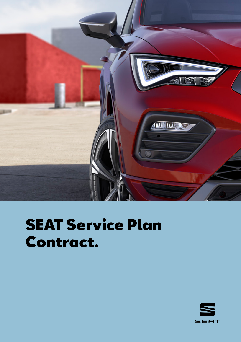

# SEAT Service Plan Contract.

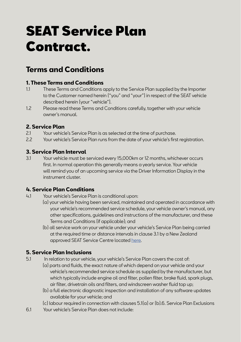## SEAT Service Plan Contract.

### **Terms and Conditions**

### **1. These Terms and Conditions**<br>11 These Terms and Conditions of

- These Terms and Conditions apply to the Service Plan supplied by the Importer to the Customer named herein ("you" and "your") in respect of the SEAT vehicle described herein (your "vehicle").
- 1.2 Please read these Terms and Conditions carefully, together with your vehicle owner's manual.

### **2. Service Plan**

- 2.1 Your vehicle's Service Plan is as selected at the time of purchase.
- 2.2 Your vehicle's Service Plan runs from the date of your vehicle's first registration.

### **3. Service Plan Interval**

3.1 Your vehicle must be serviced every 15,000km or 12 months, whichever occurs first. In normal operation this generally means a yearly service. Your vehicle will remind you of an upcoming service via the Driver Information Display in the instrument cluster.

## **4. Service Plan Conditions**

- Your vehicle's Service Plan is conditional upon:
	- (a) your vehicle having been serviced, maintained and operated in accordance with your vehicle's recommended service schedule, your vehicle owner's manual, any other specifications, guidelines and instructions of the manufacturer, and these Terms and Conditions (if applicable); and
	- (b) all service work on your vehicle under your vehicle's Service Plan being carried at the required time or distance intervals in clause 3.1 by a New Zealand approved SEAT Service Centre located [here](https://www.seat.co.nz/seat-in-new-zealand.html).

### **5. Service Plan Inclusions**

- 5.1 In relation to your vehicle, your vehicle's Service Plan covers the cost of:
	- (a) parts and fluids, the exact nature of which depend on your vehicle and your vehicle's recommended service schedule as supplied by the manufacturer, but which typically include engine oil and filter, pollen filter, brake fluid, spark plugs, air filter, drivetrain oils and filters, and windscreen washer fluid top up;
	- (b) a full electronic diagnostic inspection and installation of any software updates available for your vehicle; and
	- (c) labour required in connection with clauses 5.1(a) or (b).6. Service Plan Exclusions
- 6.1 Your vehicle's Service Plan does not include: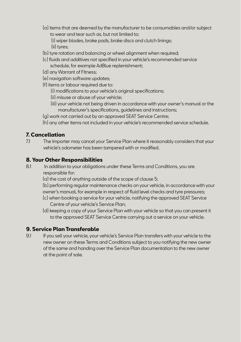- (a) items that are deemed by the manufacturer to be consumables and/or subject to wear and tear such as, but not limited to:
	- (i) wiper blades, brake pads, brake discs and clutch linings; (ii) tyres;
- (b) tyre rotation and balancing or wheel alignment when required;
- (c) fluids and additives not specified in your vehicle's recommended service schedule, for example AdBlue replenishment;
- (d) any Warrant of Fitness;
- (e) navigation software updates;
- (f) items or labour required due to:
	- (i) modifications to your vehicle's original specifications;
	- (ii) misuse or abuse of your vehicle;
	- (iii) your vehicle not being driven in accordance with your owner's manual or the manufacturer's specifications, guidelines and instructions;
- (g) work not carried out by an approved SEAT Service Centre;
- (h) any other items not included in your vehicle's recommended service schedule.

### **7. Cancellation**<br>71 The Import

The Importer may cancel your Service Plan where it reasonably considers that your vehicle's odometer has been tampered with or modified.

### **8. Your Other Responsibilities**<br>81 In addition to your obligation

- In addition to your obligations under these Terms and Conditions, you are responsible for:
	- (a) the cost of anything outside of the scope of clause 5;

(b) performing regular maintenance checks on your vehicle, in accordance with your owner's manual, for example in respect of fluid level checks and tyre pressures;

- (c) when booking a service for your vehicle, notifying the approved SEAT Service Centre of your vehicle's Service Plan;
- (d) keeping a copy of your Service Plan with your vehicle so that you can present it to the approved SEAT Service Centre carrying out a service on your vehicle.

#### **9. Service Plan Transferable**

9.1 If you sell your vehicle, your vehicle's Service Plan transfers with your vehicle to the new owner on these Terms and Conditions subject to you notifying the new owner of the same and handing over the Service Plan documentation to the new owner at the point of sale.